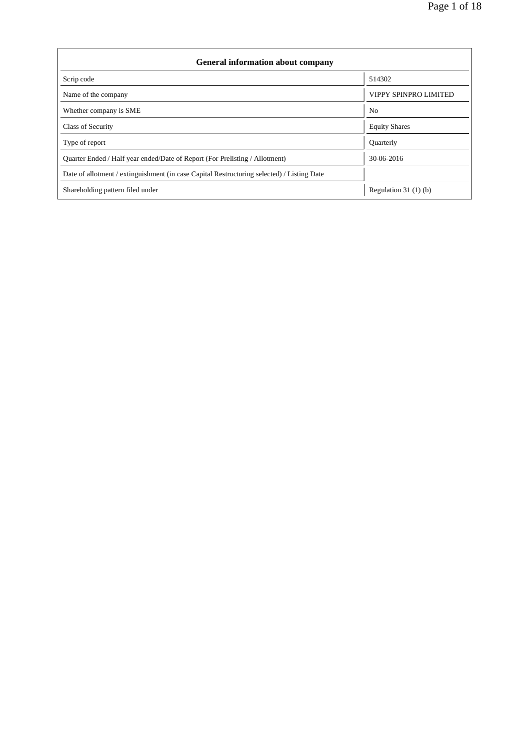| <b>General information about company</b>                                                   |                              |  |  |  |  |
|--------------------------------------------------------------------------------------------|------------------------------|--|--|--|--|
| Scrip code                                                                                 | 514302                       |  |  |  |  |
| Name of the company                                                                        | <b>VIPPY SPINPRO LIMITED</b> |  |  |  |  |
| Whether company is SME                                                                     | N <sub>0</sub>               |  |  |  |  |
| Class of Security                                                                          | <b>Equity Shares</b>         |  |  |  |  |
| Type of report                                                                             | <b>Quarterly</b>             |  |  |  |  |
| Quarter Ended / Half year ended/Date of Report (For Prelisting / Allotment)                | 30-06-2016                   |  |  |  |  |
| Date of allotment / extinguishment (in case Capital Restructuring selected) / Listing Date |                              |  |  |  |  |
| Shareholding pattern filed under                                                           | Regulation $31(1)(b)$        |  |  |  |  |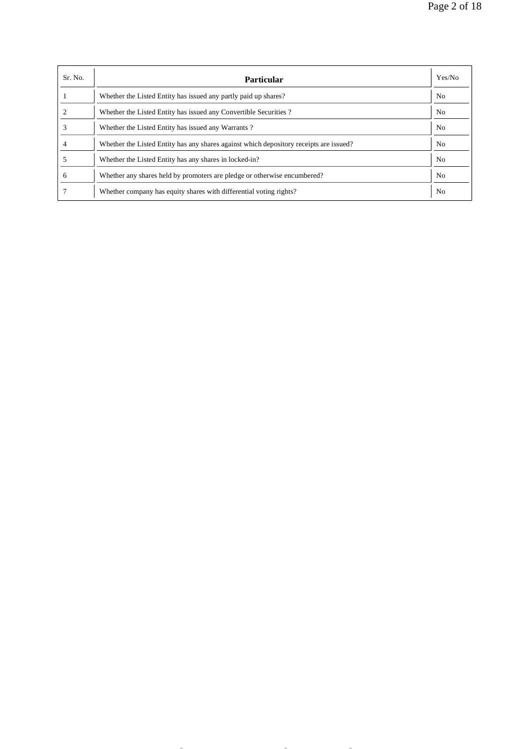| Sr. No. | <b>Particular</b>                                                                      | Yes/No         |
|---------|----------------------------------------------------------------------------------------|----------------|
|         | Whether the Listed Entity has issued any partly paid up shares?                        | No             |
|         | Whether the Listed Entity has issued any Convertible Securities?                       | N <sub>0</sub> |
|         | Whether the Listed Entity has issued any Warrants?                                     | No             |
|         | Whether the Listed Entity has any shares against which depository receipts are issued? | N <sub>0</sub> |
|         | Whether the Listed Entity has any shares in locked-in?                                 | No             |
| 6       | Whether any shares held by promoters are pledge or otherwise encumbered?               | N <sub>0</sub> |
|         | Whether company has equity shares with differential voting rights?                     | N <sub>o</sub> |

file://C:\Documents and Settings\Administrator\Desktop\sebi\ankit sh p\REPORTS\Sha... 7/14/2016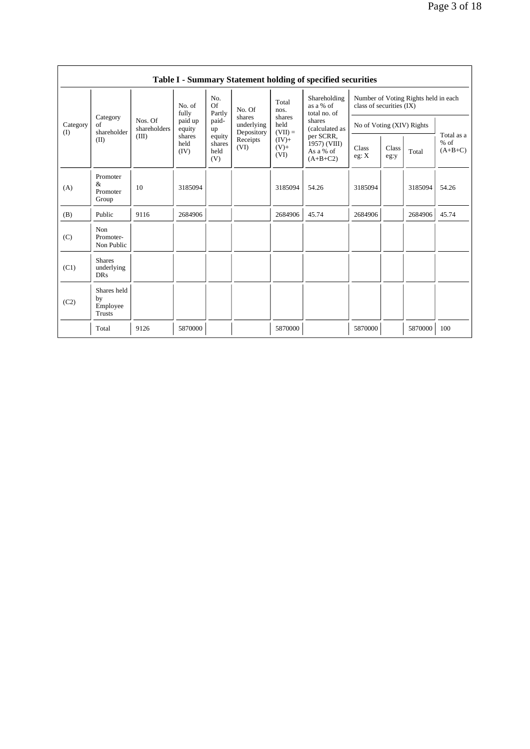| Table I - Summary Statement holding of specified securities |                                                |                         |                            |                                 |                                    |                                           |                                                                  |                           |               |         |                                   |
|-------------------------------------------------------------|------------------------------------------------|-------------------------|----------------------------|---------------------------------|------------------------------------|-------------------------------------------|------------------------------------------------------------------|---------------------------|---------------|---------|-----------------------------------|
| Category<br>Category<br>of<br>$($ I                         |                                                | No. of<br>fully         | No.<br><b>Of</b><br>Partly | No. Of                          | Total<br>nos.                      | Shareholding<br>as a % of<br>total no. of | Number of Voting Rights held in each<br>class of securities (IX) |                           |               |         |                                   |
|                                                             | shareholder                                    | Nos. Of<br>shareholders | paid up<br>equity          | paid-<br>up                     | shares<br>underlying<br>Depository | shares<br>held<br>$(VII) =$               | shares<br>(calculated as                                         | No of Voting (XIV) Rights |               |         |                                   |
|                                                             | (II)                                           | (III)                   | shares<br>held<br>(IV)     | equity<br>shares<br>held<br>(V) | Receipts<br>(VI)                   | $(IV)+$<br>$(V) +$<br>(VI)                | per SCRR,<br>1957) (VIII)<br>As a % of<br>$(A+B+C2)$             | Class<br>eg: X            | Class<br>eg:y | Total   | Total as a<br>$%$ of<br>$(A+B+C)$ |
| (A)                                                         | Promoter<br>$\&$<br>Promoter<br>Group          | 10                      | 3185094                    |                                 |                                    | 3185094                                   | 54.26                                                            | 3185094                   |               | 3185094 | 54.26                             |
| (B)                                                         | Public                                         | 9116                    | 2684906                    |                                 |                                    | 2684906                                   | 45.74                                                            | 2684906                   |               | 2684906 | 45.74                             |
| (C)                                                         | Non<br>Promoter-<br>Non Public                 |                         |                            |                                 |                                    |                                           |                                                                  |                           |               |         |                                   |
| (C1)                                                        | <b>Shares</b><br>underlying<br><b>DRs</b>      |                         |                            |                                 |                                    |                                           |                                                                  |                           |               |         |                                   |
| (C2)                                                        | Shares held<br>by<br>Employee<br><b>Trusts</b> |                         |                            |                                 |                                    |                                           |                                                                  |                           |               |         |                                   |
|                                                             | Total                                          | 9126                    | 5870000                    |                                 |                                    | 5870000                                   |                                                                  | 5870000                   |               | 5870000 | 100                               |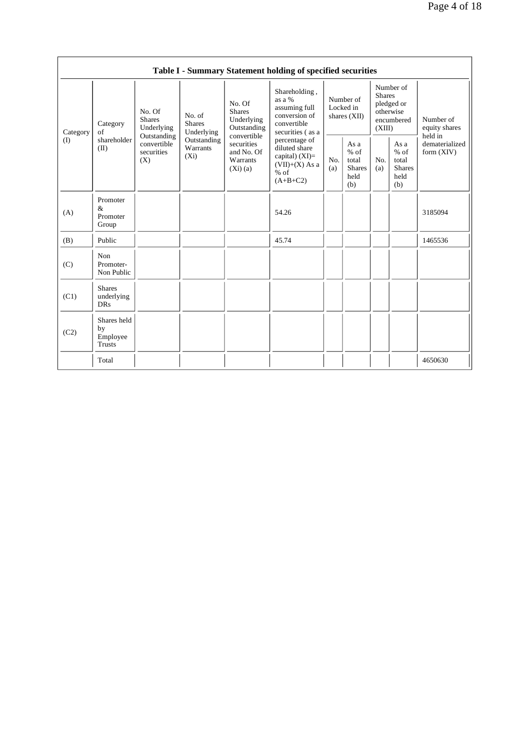|          |                                           |                                                 |                                       |                                                                                                                           | Table I - Summary Statement holding of specified securities                                  |                                                                                                |            |                                                                               |            |                                                         |
|----------|-------------------------------------------|-------------------------------------------------|---------------------------------------|---------------------------------------------------------------------------------------------------------------------------|----------------------------------------------------------------------------------------------|------------------------------------------------------------------------------------------------|------------|-------------------------------------------------------------------------------|------------|---------------------------------------------------------|
| Category | Category<br>of                            | No. Of<br><b>Shares</b><br>Underlying           | No. of<br><b>Shares</b><br>Underlying | No. Of<br><b>Shares</b><br>Underlying<br>Outstanding<br>convertible<br>securities<br>and No. Of<br>Warrants<br>$(Xi)$ (a) | Shareholding,<br>as a %<br>assuming full<br>conversion of<br>convertible<br>securities (as a | Number of<br>Locked in<br>shares $(XII)$                                                       |            | Number of<br><b>Shares</b><br>pledged or<br>otherwise<br>encumbered<br>(XIII) |            | Number of<br>equity shares<br>held in                   |
| (I)      | shareholder<br>(II)                       | Outstanding<br>convertible<br>securities<br>(X) | Outstanding<br>Warrants<br>$(X_i)$    |                                                                                                                           |                                                                                              | percentage of<br>diluted share<br>capital) $(XI)=$<br>$(VII)+(X)$ As a<br>$%$ of<br>$(A+B+C2)$ | No.<br>(a) | As a<br>$%$ of<br>total<br><b>Shares</b><br>held<br>(b)                       | No.<br>(a) | As a<br>$%$ of<br>total<br><b>Shares</b><br>held<br>(b) |
| (A)      | Promoter<br>&<br>Promoter<br>Group        |                                                 |                                       |                                                                                                                           | 54.26                                                                                        |                                                                                                |            |                                                                               |            | 3185094                                                 |
| (B)      | Public                                    |                                                 |                                       |                                                                                                                           | 45.74                                                                                        |                                                                                                |            |                                                                               |            | 1465536                                                 |
| (C)      | Non<br>Promoter-<br>Non Public            |                                                 |                                       |                                                                                                                           |                                                                                              |                                                                                                |            |                                                                               |            |                                                         |
| (C1)     | <b>Shares</b><br>underlying<br><b>DRs</b> |                                                 |                                       |                                                                                                                           |                                                                                              |                                                                                                |            |                                                                               |            |                                                         |
| (C2)     | Shares held<br>by<br>Employee<br>Trusts   |                                                 |                                       |                                                                                                                           |                                                                                              |                                                                                                |            |                                                                               |            |                                                         |
|          | Total                                     |                                                 |                                       |                                                                                                                           |                                                                                              |                                                                                                |            |                                                                               |            | 4650630                                                 |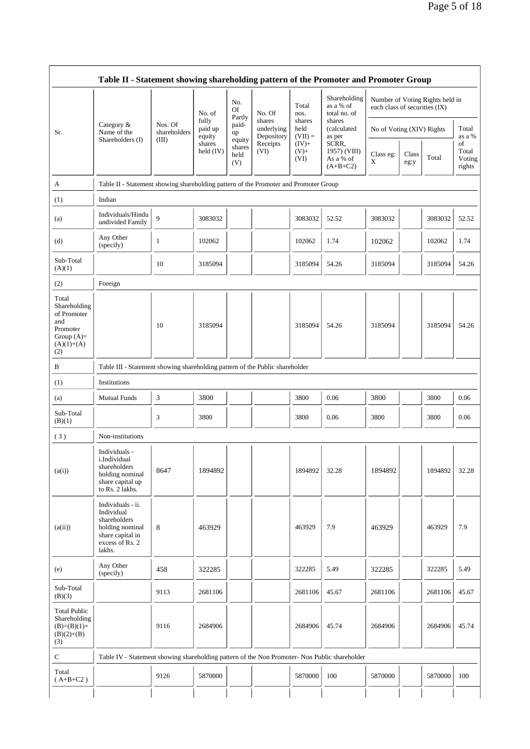|                                                                                                | Table II - Statement showing shareholding pattern of the Promoter and Promoter Group                                |                         |                            |                                 |                                    |                                                                                                                                |                                                  |                           |               |         |                                 |
|------------------------------------------------------------------------------------------------|---------------------------------------------------------------------------------------------------------------------|-------------------------|----------------------------|---------------------------------|------------------------------------|--------------------------------------------------------------------------------------------------------------------------------|--------------------------------------------------|---------------------------|---------------|---------|---------------------------------|
|                                                                                                |                                                                                                                     |                         | No. of                     | No.<br><b>Of</b>                | No. Of                             | Shareholding<br>Number of Voting Rights held in<br>as a % of<br>Total<br>each class of securities (IX)<br>total no. of<br>nos. |                                                  |                           |               |         |                                 |
| Sr.                                                                                            | Category $\&$<br>Name of the                                                                                        | Nos. Of<br>shareholders | fully<br>paid up<br>equity | Partly<br>paid-<br>up           | shares<br>underlying<br>Depository | shares<br>held<br>$(VII) =$                                                                                                    | shares<br>(calculated<br>as per                  | No of Voting (XIV) Rights |               |         | Total<br>as a %                 |
|                                                                                                | Shareholders (I)                                                                                                    | (III)                   | shares<br>held $(IV)$      | equity<br>shares<br>held<br>(V) | Receipts<br>(VI)                   | $(IV)+$<br>$(V)+$<br>(VI)                                                                                                      | SCRR,<br>1957) (VIII)<br>As a % of<br>$(A+B+C2)$ | Class eg:<br>X            | Class<br>eg:y | Total   | of<br>Total<br>Voting<br>rights |
| A                                                                                              | Table II - Statement showing shareholding pattern of the Promoter and Promoter Group                                |                         |                            |                                 |                                    |                                                                                                                                |                                                  |                           |               |         |                                 |
| (1)                                                                                            | Indian                                                                                                              |                         |                            |                                 |                                    |                                                                                                                                |                                                  |                           |               |         |                                 |
| (a)                                                                                            | Individuals/Hindu<br>undivided Family                                                                               | 9                       | 3083032                    |                                 |                                    | 3083032                                                                                                                        | 52.52                                            | 3083032                   |               | 3083032 | 52.52                           |
| (d)                                                                                            | Any Other<br>(specify)                                                                                              | 1                       | 102062                     |                                 |                                    | 102062                                                                                                                         | 1.74                                             | 102062                    |               | 102062  | 1.74                            |
| Sub-Total<br>(A)(1)                                                                            |                                                                                                                     | 10                      | 3185094                    |                                 |                                    | 3185094                                                                                                                        | 54.26                                            | 3185094                   |               | 3185094 | 54.26                           |
| (2)                                                                                            | Foreign                                                                                                             |                         |                            |                                 |                                    |                                                                                                                                |                                                  |                           |               |         |                                 |
| Total<br>Shareholding<br>of Promoter<br>and<br>Promoter<br>Group $(A)=$<br>$(A)(1)+(A)$<br>(2) |                                                                                                                     | 10                      | 3185094                    |                                 |                                    | 3185094                                                                                                                        | 54.26                                            | 3185094                   |               | 3185094 | 54.26                           |
| B                                                                                              | Table III - Statement showing shareholding pattern of the Public shareholder                                        |                         |                            |                                 |                                    |                                                                                                                                |                                                  |                           |               |         |                                 |
| (1)                                                                                            | Institutions                                                                                                        |                         |                            |                                 |                                    |                                                                                                                                |                                                  |                           |               |         |                                 |
| (a)                                                                                            | <b>Mutual Funds</b>                                                                                                 | 3                       | 3800                       |                                 |                                    | 3800                                                                                                                           | 0.06                                             | 3800                      |               | 3800    | 0.06                            |
| Sub-Total<br>(B)(1)                                                                            |                                                                                                                     | 3                       | 3800                       |                                 |                                    | 3800                                                                                                                           | 0.06                                             | 3800                      |               | 3800    | 0.06                            |
| (3)                                                                                            | Non-institutions                                                                                                    |                         |                            |                                 |                                    |                                                                                                                                |                                                  |                           |               |         |                                 |
| (a(i))                                                                                         | Individuals -<br>i.Individual<br>shareholders<br>holding nominal<br>share capital up<br>to Rs. 2 lakhs.             | 8647                    | 1894892                    |                                 |                                    | 1894892                                                                                                                        | 32.28                                            | 1894892                   |               | 1894892 | 32.28                           |
| (a(ii))                                                                                        | Individuals - ii.<br>Individual<br>shareholders<br>holding nominal<br>share capital in<br>excess of Rs. 2<br>lakhs. | 8                       | 463929                     |                                 |                                    | 463929                                                                                                                         | 7.9                                              | 463929                    |               | 463929  | 7.9                             |
| (e)                                                                                            | Any Other<br>(specify)                                                                                              | 458                     | 322285                     |                                 |                                    | 322285                                                                                                                         | 5.49                                             | 322285                    |               | 322285  | 5.49                            |
| Sub-Total<br>(B)(3)                                                                            |                                                                                                                     | 9113                    | 2681106                    |                                 |                                    | 2681106                                                                                                                        | 45.67                                            | 2681106                   |               | 2681106 | 45.67                           |
| <b>Total Public</b><br>Shareholding<br>$(B)=(B)(1)+$<br>$(B)(2)+(B)$<br>(3)                    |                                                                                                                     | 9116                    | 2684906                    |                                 |                                    | 2684906                                                                                                                        | 45.74                                            | 2684906                   |               | 2684906 | 45.74                           |
| С                                                                                              | Table IV - Statement showing shareholding pattern of the Non Promoter- Non Public shareholder                       |                         |                            |                                 |                                    |                                                                                                                                |                                                  |                           |               |         |                                 |
| Total<br>$(A+B+C2)$                                                                            |                                                                                                                     | 9126                    | 5870000                    |                                 |                                    | 5870000                                                                                                                        | 100                                              | 5870000                   |               | 5870000 | 100                             |
|                                                                                                |                                                                                                                     |                         |                            |                                 |                                    |                                                                                                                                |                                                  |                           |               |         |                                 |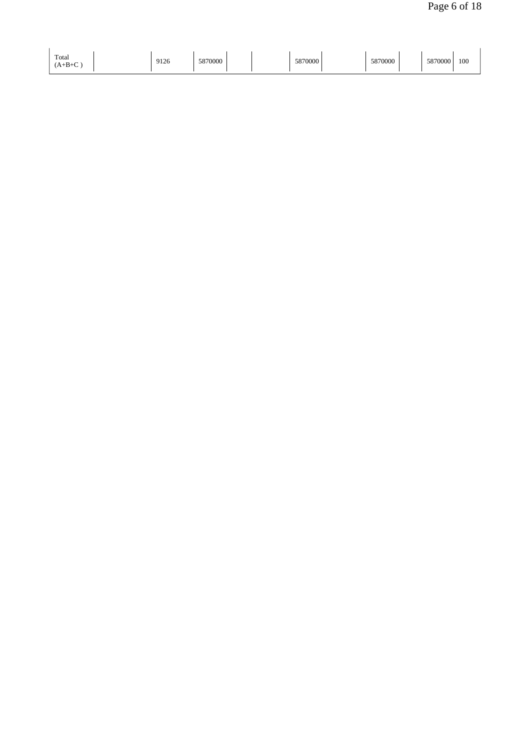| Total                                              |                |  |
|----------------------------------------------------|----------------|--|
| 9126<br>5870000<br>5870000<br>5870000<br>$(A+B+C)$ | 100<br>5870000 |  |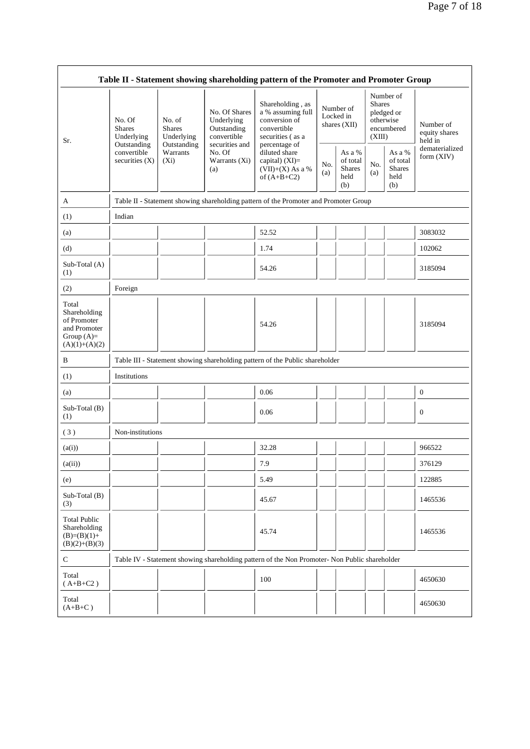|                                                                                         |                                                                                      |                                                      |                                                                                                               | Table II - Statement showing shareholding pattern of the Promoter and Promoter Group                                                                                                 |                                          |                                             |                                                                               |                                                    |                                                         |
|-----------------------------------------------------------------------------------------|--------------------------------------------------------------------------------------|------------------------------------------------------|---------------------------------------------------------------------------------------------------------------|--------------------------------------------------------------------------------------------------------------------------------------------------------------------------------------|------------------------------------------|---------------------------------------------|-------------------------------------------------------------------------------|----------------------------------------------------|---------------------------------------------------------|
| Sr.                                                                                     | No. Of<br><b>Shares</b><br>Underlying<br>Outstanding                                 | No. of<br><b>Shares</b><br>Underlying<br>Outstanding | No. Of Shares<br>Underlying<br>Outstanding<br>convertible<br>securities and<br>No. Of<br>Warrants (Xi)<br>(a) | Shareholding, as<br>a % assuming full<br>conversion of<br>convertible<br>securities (as a<br>percentage of<br>diluted share<br>capital) (XI)=<br>$(VII)+(X)$ As a %<br>of $(A+B+C2)$ | Number of<br>Locked in<br>shares $(XII)$ |                                             | Number of<br><b>Shares</b><br>pledged or<br>otherwise<br>encumbered<br>(XIII) |                                                    | Number of<br>equity shares<br>held in<br>dematerialized |
|                                                                                         | convertible<br>securities $(X)$                                                      | Warrants<br>$(X_i)$                                  |                                                                                                               |                                                                                                                                                                                      | No.<br>(a)                               | As a %<br>of total<br>Shares<br>held<br>(b) | No.<br>(a)                                                                    | As a %<br>of total<br><b>Shares</b><br>held<br>(b) | form $(XIV)$                                            |
| A                                                                                       | Table II - Statement showing shareholding pattern of the Promoter and Promoter Group |                                                      |                                                                                                               |                                                                                                                                                                                      |                                          |                                             |                                                                               |                                                    |                                                         |
| (1)                                                                                     | Indian                                                                               |                                                      |                                                                                                               |                                                                                                                                                                                      |                                          |                                             |                                                                               |                                                    |                                                         |
| (a)                                                                                     |                                                                                      |                                                      |                                                                                                               | 52.52                                                                                                                                                                                |                                          |                                             |                                                                               |                                                    | 3083032                                                 |
| (d)                                                                                     |                                                                                      |                                                      |                                                                                                               | 1.74                                                                                                                                                                                 |                                          |                                             |                                                                               |                                                    | 102062                                                  |
| Sub-Total (A)<br>(1)                                                                    |                                                                                      |                                                      |                                                                                                               | 54.26                                                                                                                                                                                |                                          |                                             |                                                                               |                                                    | 3185094                                                 |
| (2)                                                                                     | Foreign                                                                              |                                                      |                                                                                                               |                                                                                                                                                                                      |                                          |                                             |                                                                               |                                                    |                                                         |
| Total<br>Shareholding<br>of Promoter<br>and Promoter<br>Group $(A)=$<br>$(A)(1)+(A)(2)$ |                                                                                      |                                                      |                                                                                                               | 54.26                                                                                                                                                                                |                                          |                                             |                                                                               |                                                    | 3185094                                                 |
| B                                                                                       |                                                                                      |                                                      |                                                                                                               | Table III - Statement showing shareholding pattern of the Public shareholder                                                                                                         |                                          |                                             |                                                                               |                                                    |                                                         |
| (1)                                                                                     | Institutions                                                                         |                                                      |                                                                                                               |                                                                                                                                                                                      |                                          |                                             |                                                                               |                                                    |                                                         |
| (a)                                                                                     |                                                                                      |                                                      |                                                                                                               | 0.06                                                                                                                                                                                 |                                          |                                             |                                                                               |                                                    | $\boldsymbol{0}$                                        |
| Sub-Total (B)<br>(1)                                                                    |                                                                                      |                                                      |                                                                                                               | 0.06                                                                                                                                                                                 |                                          |                                             |                                                                               |                                                    | $\boldsymbol{0}$                                        |
| (3)                                                                                     | Non-institutions                                                                     |                                                      |                                                                                                               |                                                                                                                                                                                      |                                          |                                             |                                                                               |                                                    |                                                         |
| (a(i))                                                                                  |                                                                                      |                                                      |                                                                                                               | 32.28                                                                                                                                                                                |                                          |                                             |                                                                               |                                                    | 966522                                                  |
| (a(ii))                                                                                 |                                                                                      |                                                      |                                                                                                               | 7.9                                                                                                                                                                                  |                                          |                                             |                                                                               |                                                    | 376129                                                  |
| (e)                                                                                     |                                                                                      |                                                      |                                                                                                               | 5.49                                                                                                                                                                                 |                                          |                                             |                                                                               |                                                    | 122885                                                  |
| Sub-Total (B)<br>(3)                                                                    |                                                                                      |                                                      |                                                                                                               | 45.67                                                                                                                                                                                |                                          |                                             |                                                                               |                                                    | 1465536                                                 |
| <b>Total Public</b><br>Shareholding<br>$(B)=(B)(1)+$<br>$(B)(2)+(B)(3)$                 |                                                                                      |                                                      |                                                                                                               | 45.74                                                                                                                                                                                |                                          |                                             |                                                                               |                                                    | 1465536                                                 |
| ${\bf C}$                                                                               |                                                                                      |                                                      |                                                                                                               | Table IV - Statement showing shareholding pattern of the Non Promoter- Non Public shareholder                                                                                        |                                          |                                             |                                                                               |                                                    |                                                         |
| Total<br>$(A+B+C2)$                                                                     |                                                                                      |                                                      |                                                                                                               | 100                                                                                                                                                                                  |                                          |                                             |                                                                               |                                                    | 4650630                                                 |
| Total<br>$(A+B+C)$                                                                      |                                                                                      |                                                      |                                                                                                               |                                                                                                                                                                                      |                                          |                                             |                                                                               |                                                    | 4650630                                                 |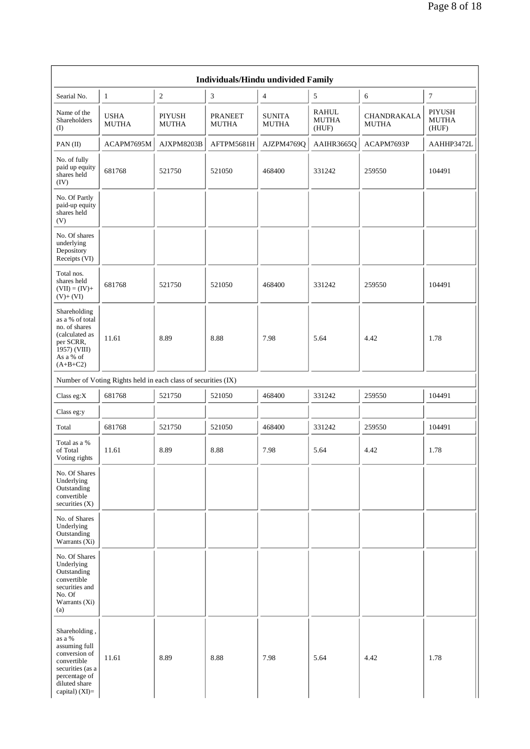|                                                                                                                                                  | Individuals/Hindu undivided Family                            |                               |                                |                               |                                |                                    |                                 |  |  |  |
|--------------------------------------------------------------------------------------------------------------------------------------------------|---------------------------------------------------------------|-------------------------------|--------------------------------|-------------------------------|--------------------------------|------------------------------------|---------------------------------|--|--|--|
| Searial No.                                                                                                                                      | $\mathbf{1}$                                                  | $\mathfrak{2}$                | 3                              | $\overline{4}$                | 5                              | 6                                  | $\tau$                          |  |  |  |
| Name of the<br><b>Shareholders</b><br>(I)                                                                                                        | <b>USHA</b><br><b>MUTHA</b>                                   | <b>PIYUSH</b><br><b>MUTHA</b> | <b>PRANEET</b><br><b>MUTHA</b> | <b>SUNITA</b><br><b>MUTHA</b> | RAHUL<br><b>MUTHA</b><br>(HUF) | <b>CHANDRAKALA</b><br><b>MUTHA</b> | PIYUSH<br><b>MUTHA</b><br>(HUF) |  |  |  |
| PAN (II)                                                                                                                                         | ACAPM7695M                                                    | AJXPM8203B                    | AFTPM5681H                     | AJZPM4769Q                    | AAIHR3665Q                     | ACAPM7693P                         | AAHHP3472L                      |  |  |  |
| No. of fully<br>paid up equity<br>shares held<br>(IV)                                                                                            | 681768                                                        | 521750                        | 521050                         | 468400                        | 331242                         | 259550                             | 104491                          |  |  |  |
| No. Of Partly<br>paid-up equity<br>shares held<br>(V)                                                                                            |                                                               |                               |                                |                               |                                |                                    |                                 |  |  |  |
| No. Of shares<br>underlying<br>Depository<br>Receipts (VI)                                                                                       |                                                               |                               |                                |                               |                                |                                    |                                 |  |  |  |
| Total nos.<br>shares held<br>$(VII) = (IV) +$<br>$(V) + (VI)$                                                                                    | 681768                                                        | 521750                        | 521050                         | 468400                        | 331242                         | 259550                             | 104491                          |  |  |  |
| Shareholding<br>as a % of total<br>no. of shares<br>(calculated as<br>per SCRR,<br>1957) (VIII)<br>As a % of<br>$(A+B+C2)$                       | 11.61                                                         | 8.89                          | 8.88                           | 7.98                          | 5.64                           | 4.42                               | 1.78                            |  |  |  |
|                                                                                                                                                  | Number of Voting Rights held in each class of securities (IX) |                               |                                |                               |                                |                                    |                                 |  |  |  |
| Class eg: $X$                                                                                                                                    | 681768                                                        | 521750                        | 521050                         | 468400                        | 331242                         | 259550                             | 104491                          |  |  |  |
| Class eg:y                                                                                                                                       |                                                               |                               |                                |                               |                                |                                    |                                 |  |  |  |
| Total                                                                                                                                            | 681768                                                        | 521750                        | 521050                         | 468400                        | 331242                         | 259550                             | 104491                          |  |  |  |
| Total as a %<br>of Total<br>Voting rights                                                                                                        | 11.61                                                         | 8.89                          | 8.88                           | 7.98                          | 5.64                           | 4.42                               | 1.78                            |  |  |  |
| No. Of Shares<br>Underlying<br>Outstanding<br>convertible<br>securities (X)                                                                      |                                                               |                               |                                |                               |                                |                                    |                                 |  |  |  |
| No. of Shares<br>Underlying<br>Outstanding<br>Warrants $(X_i)$                                                                                   |                                                               |                               |                                |                               |                                |                                    |                                 |  |  |  |
| No. Of Shares<br>Underlying<br>Outstanding<br>convertible<br>securities and<br>No. Of<br>Warrants (Xi)<br>(a)                                    |                                                               |                               |                                |                               |                                |                                    |                                 |  |  |  |
| Shareholding,<br>as a %<br>assuming full<br>conversion of<br>convertible<br>securities (as a<br>percentage of<br>diluted share<br>capital) (XI)= | 11.61                                                         | 8.89                          | 8.88                           | 7.98                          | 5.64                           | 4.42                               | 1.78                            |  |  |  |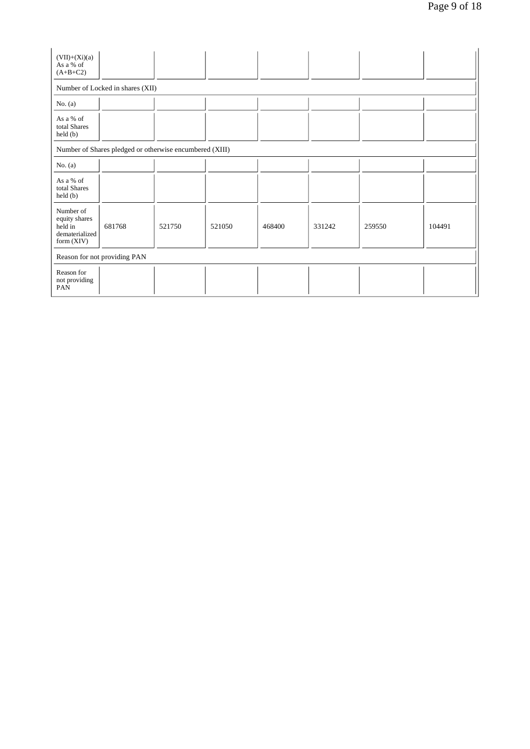| $(VII)+(Xi)(a)$<br>As a % of<br>$(A+B+C2)$                              |                                  |        |        |        |        |        |        |  |  |
|-------------------------------------------------------------------------|----------------------------------|--------|--------|--------|--------|--------|--------|--|--|
|                                                                         | Number of Locked in shares (XII) |        |        |        |        |        |        |  |  |
| No. $(a)$                                                               |                                  |        |        |        |        |        |        |  |  |
| As a % of<br>total Shares<br>$\text{held}(\text{b})$                    |                                  |        |        |        |        |        |        |  |  |
| Number of Shares pledged or otherwise encumbered (XIII)                 |                                  |        |        |        |        |        |        |  |  |
| No. $(a)$                                                               |                                  |        |        |        |        |        |        |  |  |
| As a % of<br>total Shares<br>$\text{held}(\text{b})$                    |                                  |        |        |        |        |        |        |  |  |
| Number of<br>equity shares<br>held in<br>dematerialized<br>form $(XIV)$ | 681768                           | 521750 | 521050 | 468400 | 331242 | 259550 | 104491 |  |  |
|                                                                         | Reason for not providing PAN     |        |        |        |        |        |        |  |  |
| Reason for<br>not providing<br>PAN                                      |                                  |        |        |        |        |        |        |  |  |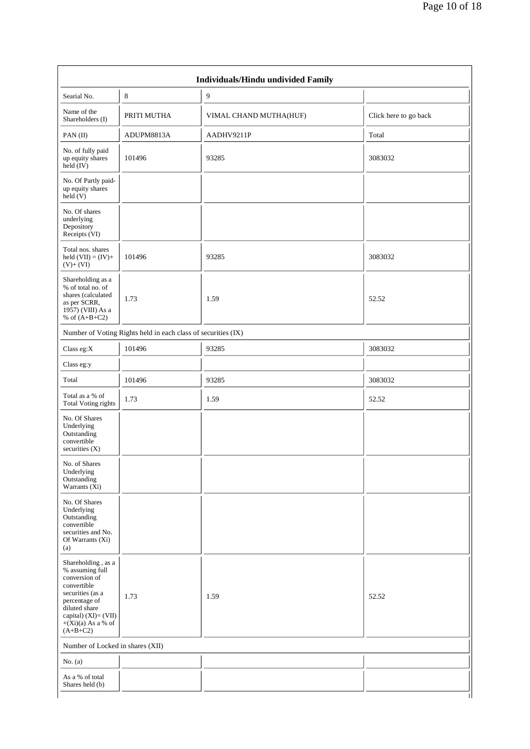| Individuals/Hindu undivided Family                                                                                                                                                        |             |                        |                       |  |  |  |  |
|-------------------------------------------------------------------------------------------------------------------------------------------------------------------------------------------|-------------|------------------------|-----------------------|--|--|--|--|
| Searial No.                                                                                                                                                                               | $\,8\,$     | $\overline{9}$         |                       |  |  |  |  |
| Name of the<br>Shareholders (I)                                                                                                                                                           | PRITI MUTHA | VIMAL CHAND MUTHA(HUF) | Click here to go back |  |  |  |  |
| $PAN$ (II)                                                                                                                                                                                | ADUPM8813A  | AADHV9211P             | Total                 |  |  |  |  |
| No. of fully paid<br>up equity shares<br>held $(IV)$                                                                                                                                      | 101496      | 93285                  | 3083032               |  |  |  |  |
| No. Of Partly paid-<br>up equity shares<br>held $(V)$                                                                                                                                     |             |                        |                       |  |  |  |  |
| No. Of shares<br>underlying<br>Depository<br>Receipts (VI)                                                                                                                                |             |                        |                       |  |  |  |  |
| Total nos. shares<br>held $(VII) = (IV) +$<br>$(V)+(VI)$                                                                                                                                  | 101496      | 93285                  | 3083032               |  |  |  |  |
| Shareholding as a<br>% of total no. of<br>shares (calculated<br>as per SCRR,<br>1957) (VIII) As a<br>% of $(A+B+C2)$                                                                      | 1.73        | 1.59                   | 52.52                 |  |  |  |  |
| Number of Voting Rights held in each class of securities (IX)                                                                                                                             |             |                        |                       |  |  |  |  |
| Class eg: $X$                                                                                                                                                                             | 101496      | 93285                  | 3083032               |  |  |  |  |
| Class eg:y                                                                                                                                                                                |             |                        |                       |  |  |  |  |
| Total                                                                                                                                                                                     | 101496      | 93285                  | 3083032               |  |  |  |  |
| Total as a % of<br><b>Total Voting rights</b>                                                                                                                                             | 1.73        | 1.59                   | 52.52                 |  |  |  |  |
| No. Of Shares<br>Underlying<br>Outstanding<br>convertible<br>securities $(X)$                                                                                                             |             |                        |                       |  |  |  |  |
| No. of Shares<br>Underlying<br>Outstanding<br>Warrants (Xi)                                                                                                                               |             |                        |                       |  |  |  |  |
| No. Of Shares<br>Underlying<br>Outstanding<br>convertible<br>securities and No.<br>Of Warrants (Xi)<br>(a)                                                                                |             |                        |                       |  |  |  |  |
| Shareholding, as a<br>% assuming full<br>conversion of<br>convertible<br>securities (as a<br>percentage of<br>diluted share<br>capital) (XI)= (VII)<br>$+(Xi)(a)$ As a % of<br>$(A+B+C2)$ | 1.73        | 1.59                   | 52.52                 |  |  |  |  |
| Number of Locked in shares (XII)                                                                                                                                                          |             |                        |                       |  |  |  |  |
| No. $(a)$                                                                                                                                                                                 |             |                        |                       |  |  |  |  |
| As a % of total<br>Shares held (b)                                                                                                                                                        |             |                        | $\mathbf{I}$          |  |  |  |  |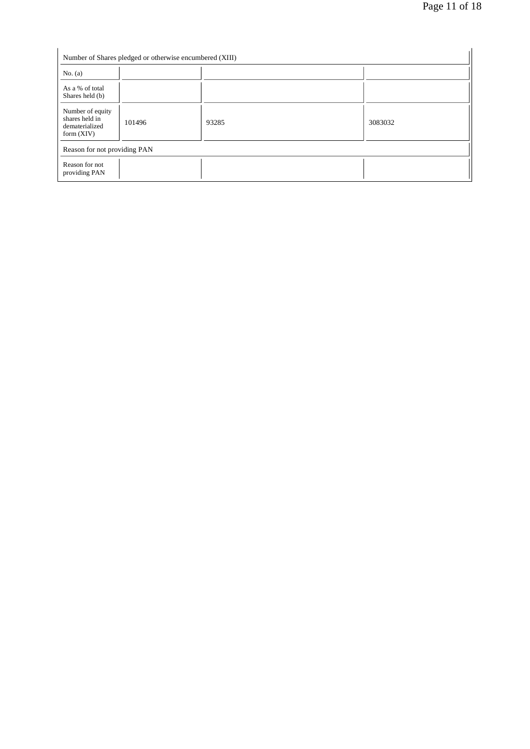| Number of Shares pledged or otherwise encumbered (XIII)              |        |       |         |  |  |  |
|----------------------------------------------------------------------|--------|-------|---------|--|--|--|
| No. $(a)$                                                            |        |       |         |  |  |  |
| As a % of total<br>Shares held (b)                                   |        |       |         |  |  |  |
| Number of equity<br>shares held in<br>dematerialized<br>form $(XIV)$ | 101496 | 93285 | 3083032 |  |  |  |
| Reason for not providing PAN                                         |        |       |         |  |  |  |
| Reason for not<br>providing PAN                                      |        |       |         |  |  |  |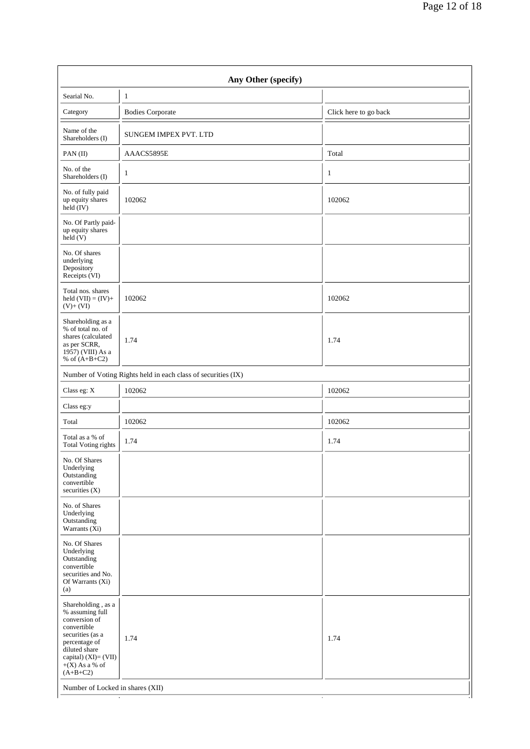| Any Other (specify)                                                                                                                                                                                                       |                         |                       |  |  |  |  |  |
|---------------------------------------------------------------------------------------------------------------------------------------------------------------------------------------------------------------------------|-------------------------|-----------------------|--|--|--|--|--|
| Searial No.                                                                                                                                                                                                               | 1                       |                       |  |  |  |  |  |
| Category                                                                                                                                                                                                                  | <b>Bodies Corporate</b> | Click here to go back |  |  |  |  |  |
| Name of the<br>Shareholders (I)                                                                                                                                                                                           | SUNGEM IMPEX PVT. LTD   |                       |  |  |  |  |  |
| PAN(II)                                                                                                                                                                                                                   | AAACS5895E              | Total                 |  |  |  |  |  |
| No. of the<br>Shareholders (I)                                                                                                                                                                                            | $\mathbf{1}$            | $\mathbf{1}$          |  |  |  |  |  |
| No. of fully paid<br>up equity shares<br>held $(IV)$                                                                                                                                                                      | 102062                  | 102062                |  |  |  |  |  |
| No. Of Partly paid-<br>up equity shares<br>held(V)                                                                                                                                                                        |                         |                       |  |  |  |  |  |
| No. Of shares<br>underlying<br>Depository<br>Receipts (VI)                                                                                                                                                                |                         |                       |  |  |  |  |  |
| Total nos. shares<br>held $(VII) = (IV) +$<br>$(V)+(VI)$                                                                                                                                                                  | 102062                  | 102062                |  |  |  |  |  |
| Shareholding as a<br>% of total no. of<br>shares (calculated<br>as per SCRR,<br>1957) (VIII) As a<br>% of $(A+B+C2)$                                                                                                      | 1.74                    | 1.74                  |  |  |  |  |  |
| Number of Voting Rights held in each class of securities (IX)                                                                                                                                                             |                         |                       |  |  |  |  |  |
| Class eg: X                                                                                                                                                                                                               | 102062                  | 102062                |  |  |  |  |  |
| Class eg:y                                                                                                                                                                                                                |                         |                       |  |  |  |  |  |
| Total                                                                                                                                                                                                                     | 102062                  | 102062                |  |  |  |  |  |
| Total as a % of<br><b>Total Voting rights</b>                                                                                                                                                                             | 1.74                    | 1.74                  |  |  |  |  |  |
| No. Of Shares<br>Underlying<br>Outstanding<br>convertible<br>securities $(X)$                                                                                                                                             |                         |                       |  |  |  |  |  |
| No. of Shares<br>Underlying<br>Outstanding<br>Warrants (Xi)                                                                                                                                                               |                         |                       |  |  |  |  |  |
| No. Of Shares<br>Underlying<br>Outstanding<br>convertible<br>securities and No.<br>Of Warrants (Xi)<br>(a)                                                                                                                |                         |                       |  |  |  |  |  |
| Shareholding, as a<br>% assuming full<br>conversion of<br>convertible<br>securities (as a<br>percentage of<br>diluted share<br>capital) (XI)= (VII)<br>$+(X)$ As a % of<br>$(A+B+C2)$<br>Number of Locked in shares (XII) | 1.74                    | 1.74                  |  |  |  |  |  |
|                                                                                                                                                                                                                           |                         |                       |  |  |  |  |  |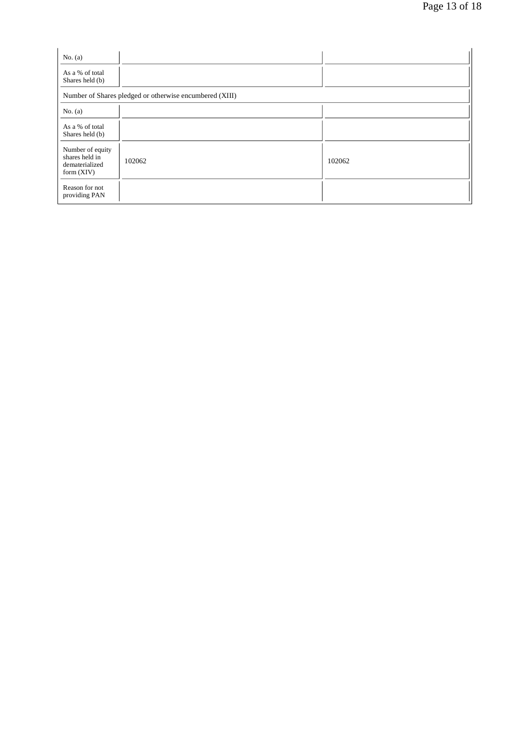| No. $(a)$                                                            |                                                         |        |
|----------------------------------------------------------------------|---------------------------------------------------------|--------|
| As a % of total<br>Shares held (b)                                   |                                                         |        |
|                                                                      | Number of Shares pledged or otherwise encumbered (XIII) |        |
| No. $(a)$                                                            |                                                         |        |
| As a % of total<br>Shares held (b)                                   |                                                         |        |
| Number of equity<br>shares held in<br>dematerialized<br>form $(XIV)$ | 102062                                                  | 102062 |
| Reason for not<br>providing PAN                                      |                                                         |        |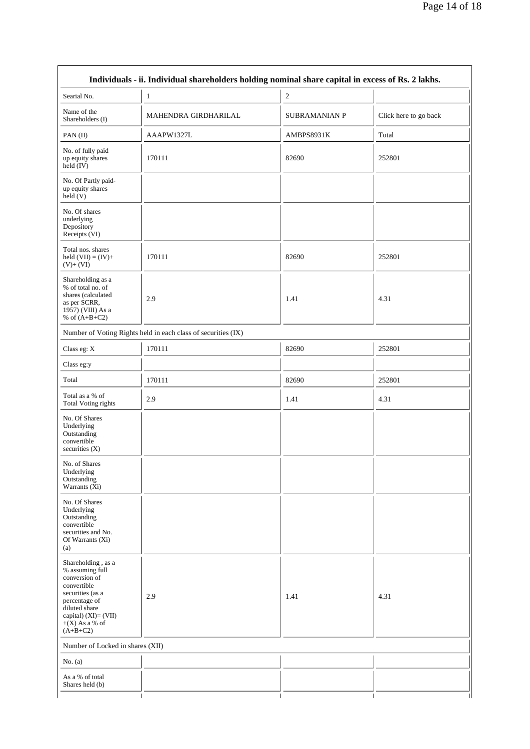|                                                                                                                                                                                          | Individuals - ii. Individual shareholders holding nominal share capital in excess of Rs. 2 lakhs. |                      |                       |
|------------------------------------------------------------------------------------------------------------------------------------------------------------------------------------------|---------------------------------------------------------------------------------------------------|----------------------|-----------------------|
| Searial No.                                                                                                                                                                              | 1                                                                                                 | $\overline{c}$       |                       |
| Name of the<br>Shareholders (I)                                                                                                                                                          | MAHENDRA GIRDHARILAL                                                                              | <b>SUBRAMANIAN P</b> | Click here to go back |
| PAN(II)                                                                                                                                                                                  | AAAPW1327L                                                                                        | AMBPS8931K           | Total                 |
| No. of fully paid<br>up equity shares<br>held $(IV)$                                                                                                                                     | 170111                                                                                            | 82690                | 252801                |
| No. Of Partly paid-<br>up equity shares<br>held $(V)$                                                                                                                                    |                                                                                                   |                      |                       |
| No. Of shares<br>underlying<br>Depository<br>Receipts (VI)                                                                                                                               |                                                                                                   |                      |                       |
| Total nos. shares<br>held $(VII) = (IV) +$<br>$(V)+(VI)$                                                                                                                                 | 170111                                                                                            | 82690                | 252801                |
| Shareholding as a<br>% of total no. of<br>shares (calculated<br>as per SCRR,<br>1957) (VIII) As a<br>% of $(A+B+C2)$                                                                     | 2.9                                                                                               | 1.41                 | 4.31                  |
|                                                                                                                                                                                          | Number of Voting Rights held in each class of securities (IX)                                     |                      |                       |
| Class eg: X                                                                                                                                                                              | 170111                                                                                            | 82690                | 252801                |
| Class eg:y                                                                                                                                                                               |                                                                                                   |                      |                       |
| Total                                                                                                                                                                                    | 170111                                                                                            | 82690                | 252801                |
| Total as a % of<br><b>Total Voting rights</b>                                                                                                                                            | 2.9                                                                                               | 1.41                 | 4.31                  |
| No. Of Shares<br>Underlying<br>Outstanding<br>convertible<br>securities $(X)$                                                                                                            |                                                                                                   |                      |                       |
| No. of Shares<br>Underlying<br>Outstanding<br>Warrants (Xi)                                                                                                                              |                                                                                                   |                      |                       |
| No. Of Shares<br>Underlying<br>Outstanding<br>convertible<br>securities and No.<br>Of Warrants (Xi)<br>(a)                                                                               |                                                                                                   |                      |                       |
| Shareholding, as a<br>% assuming full<br>conversion of<br>convertible<br>securities (as a<br>percentage of<br>diluted share<br>capital) $(XI) = (VII)$<br>$+(X)$ As a % of<br>$(A+B+C2)$ | 2.9                                                                                               | 1.41                 | 4.31                  |
| Number of Locked in shares (XII)                                                                                                                                                         |                                                                                                   |                      |                       |
| No. $(a)$                                                                                                                                                                                |                                                                                                   |                      |                       |
| As a % of total<br>Shares held (b)                                                                                                                                                       |                                                                                                   |                      |                       |
|                                                                                                                                                                                          |                                                                                                   |                      |                       |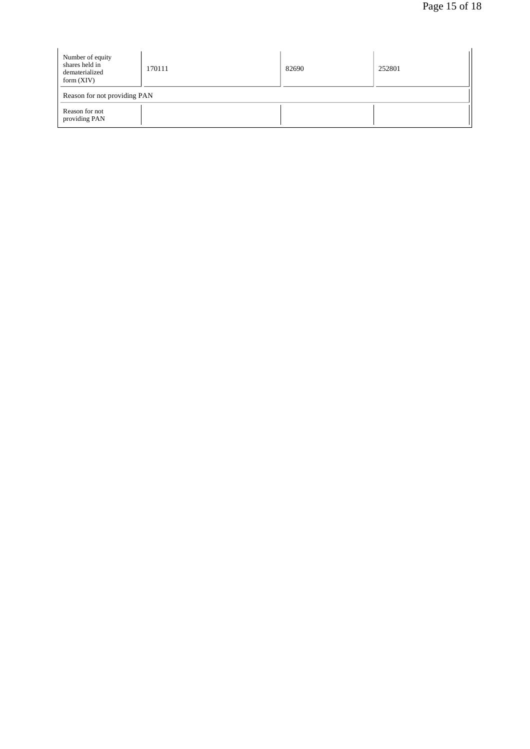| Number of equity<br>shares held in<br>dematerialized<br>form $(XIV)$ | 170111 | 82690 | 252801 |  |
|----------------------------------------------------------------------|--------|-------|--------|--|
| Reason for not providing PAN                                         |        |       |        |  |
| Reason for not<br>providing PAN                                      |        |       |        |  |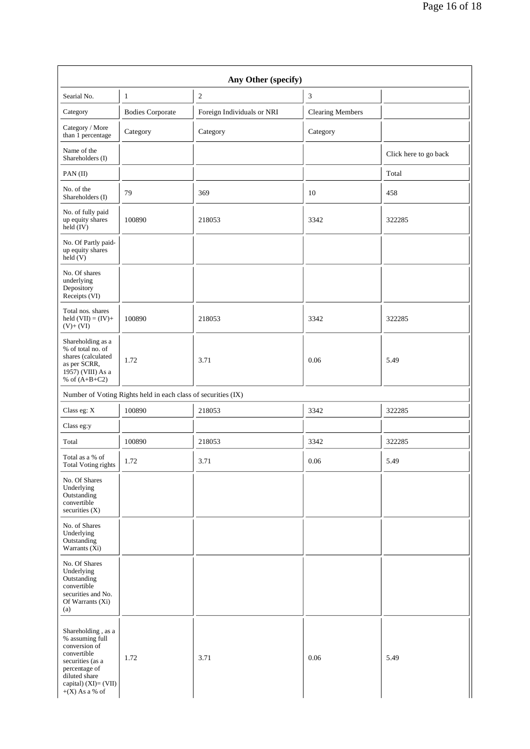|                                                                                                                                                                         |                                                               | Any Other (specify)        |                         |                       |
|-------------------------------------------------------------------------------------------------------------------------------------------------------------------------|---------------------------------------------------------------|----------------------------|-------------------------|-----------------------|
| Searial No.                                                                                                                                                             | 1                                                             | $\overline{c}$             | 3                       |                       |
| Category                                                                                                                                                                | <b>Bodies Corporate</b>                                       | Foreign Individuals or NRI | <b>Clearing Members</b> |                       |
| Category / More<br>than 1 percentage                                                                                                                                    | Category                                                      | Category                   | Category                |                       |
| Name of the<br>Shareholders (I)                                                                                                                                         |                                                               |                            |                         | Click here to go back |
| PAN(II)                                                                                                                                                                 |                                                               |                            |                         | Total                 |
| No. of the<br>Shareholders (I)                                                                                                                                          | 79                                                            | 369                        | 10                      | 458                   |
| No. of fully paid<br>up equity shares<br>$held$ (IV)                                                                                                                    | 100890                                                        | 218053                     | 3342                    | 322285                |
| No. Of Partly paid-<br>up equity shares<br>held (V)                                                                                                                     |                                                               |                            |                         |                       |
| No. Of shares<br>underlying<br>Depository<br>Receipts (VI)                                                                                                              |                                                               |                            |                         |                       |
| Total nos. shares<br>held $(VII) = (IV) +$<br>$(V) + (VI)$                                                                                                              | 100890                                                        | 218053                     | 3342                    | 322285                |
| Shareholding as a<br>% of total no. of<br>shares (calculated<br>as per SCRR,<br>1957) (VIII) As a<br>% of $(A+B+C2)$                                                    | 1.72                                                          | 3.71                       | 0.06                    | 5.49                  |
|                                                                                                                                                                         | Number of Voting Rights held in each class of securities (IX) |                            |                         |                       |
| Class eg: X                                                                                                                                                             | 100890                                                        | 218053                     | 3342                    | 322285                |
| Class eg:y                                                                                                                                                              |                                                               |                            |                         |                       |
| Total                                                                                                                                                                   | 100890                                                        | 218053                     | 3342                    | 322285                |
| Total as a % of<br>Total Voting rights                                                                                                                                  | 1.72                                                          | 3.71                       | 0.06                    | 5.49                  |
| No. Of Shares<br>Underlying<br>Outstanding<br>convertible<br>securities (X)                                                                                             |                                                               |                            |                         |                       |
| No. of Shares<br>Underlying<br>Outstanding<br>Warrants $(X_i)$                                                                                                          |                                                               |                            |                         |                       |
| No. Of Shares<br>Underlying<br>Outstanding<br>convertible<br>securities and No.<br>Of Warrants (Xi)<br>(a)                                                              |                                                               |                            |                         |                       |
| Shareholding, as a<br>% assuming full<br>conversion of<br>convertible<br>securities (as a<br>percentage of<br>diluted share<br>capital) (XI)= (VII)<br>$+(X)$ As a % of | 1.72                                                          | 3.71                       | 0.06                    | 5.49                  |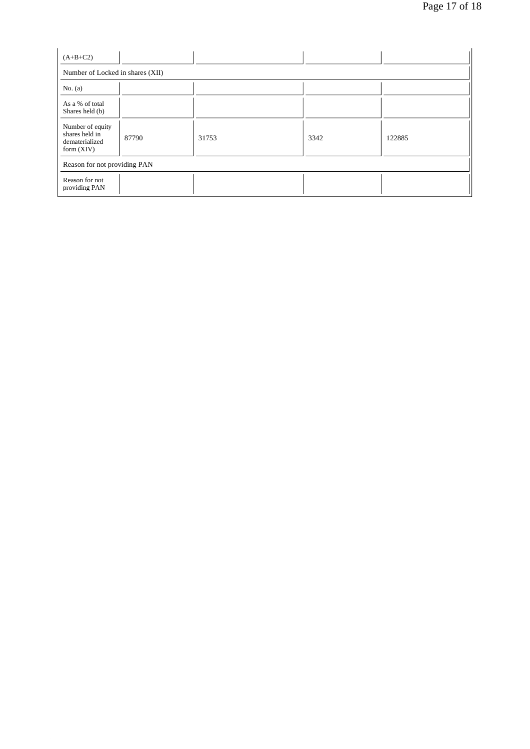| $(A+B+C2)$                                                           |       |       |      |        |  |
|----------------------------------------------------------------------|-------|-------|------|--------|--|
| Number of Locked in shares (XII)                                     |       |       |      |        |  |
| No. $(a)$                                                            |       |       |      |        |  |
| As a % of total<br>Shares held (b)                                   |       |       |      |        |  |
| Number of equity<br>shares held in<br>dematerialized<br>form $(XIV)$ | 87790 | 31753 | 3342 | 122885 |  |
| Reason for not providing PAN                                         |       |       |      |        |  |
| Reason for not<br>providing PAN                                      |       |       |      |        |  |